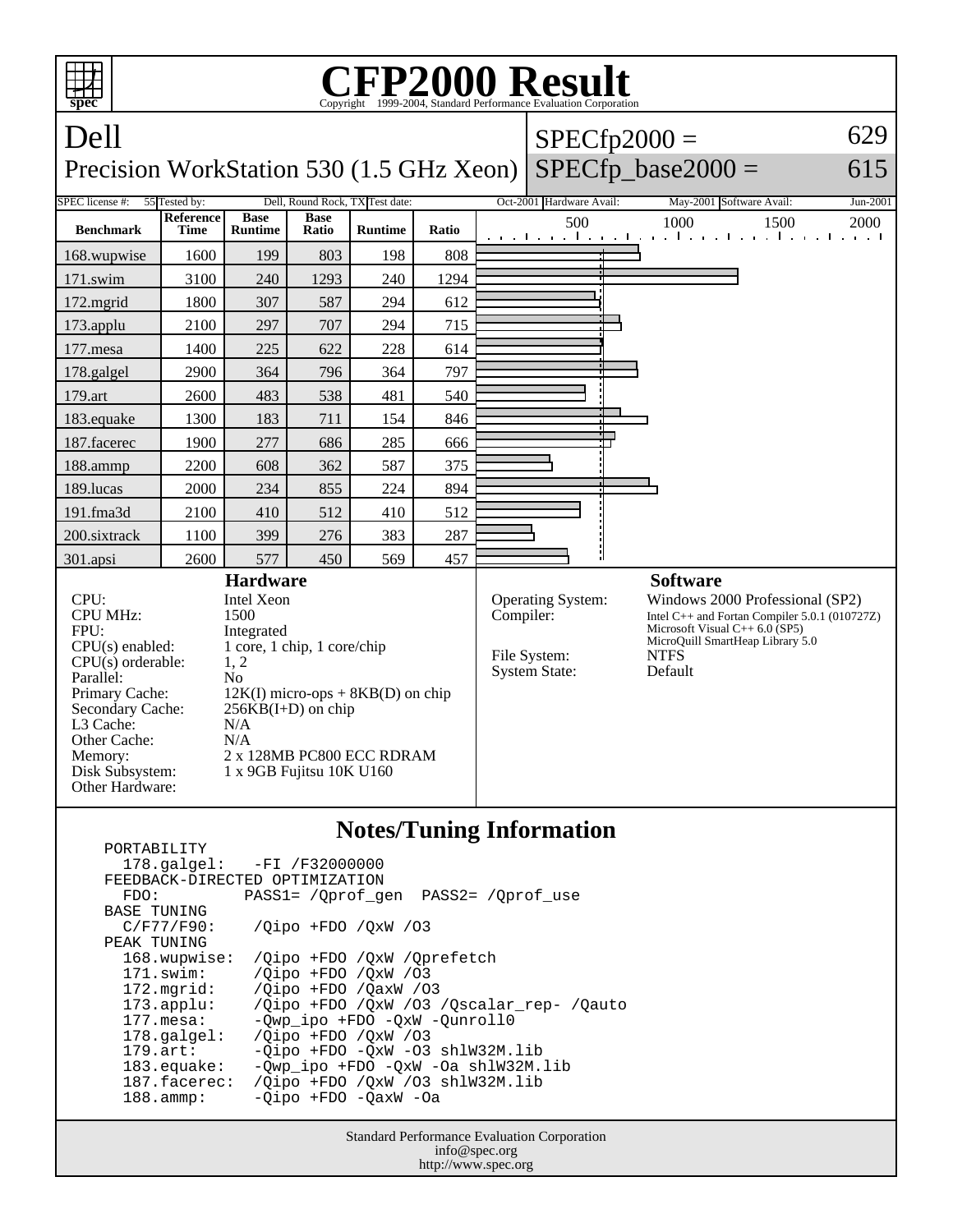

|                                | 178.galgel: -FI /F32000000                     |  |  |  |  |
|--------------------------------|------------------------------------------------|--|--|--|--|
| FEEDBACK-DIRECTED OPTIMIZATION |                                                |  |  |  |  |
| FDO:                           | PASS1= /Oprof gen PASS2= /Oprof use            |  |  |  |  |
| <b>BASE TUNING</b>             |                                                |  |  |  |  |
| C/F77/F90:                     | /Oipo +FDO /OxW /03                            |  |  |  |  |
| PEAK TUNING                    |                                                |  |  |  |  |
| 168.wupwise:                   | /Oipo +FDO /OxW /Oprefetch                     |  |  |  |  |
| $171$ .swim:                   | /Oipo +FDO /OxW /03                            |  |  |  |  |
| 172.mgrid:                     | /Oipo +FDO /OaxW /O3                           |  |  |  |  |
| $173.\text{applu}:$            | /Qipo +FDO /QxW /03 /Qscalar_rep- /Qauto       |  |  |  |  |
| $177.\text{mesa}:$             | -Owp ipo +FDO -OxW -Ounroll0                   |  |  |  |  |
| $178.\text{q}$                 | $\sqrt{O}$ ipo +FDO $\sqrt{O}$ xW $\sqrt{O}$ 3 |  |  |  |  |
| $179.\text{art}$ :             | $-Oipo$ +FDO $-OxW$ -O3 shlW32M.lib            |  |  |  |  |
| $183$ .equake:                 | -Owp ipo +FDO -OxW -Oa shlW32M.lib             |  |  |  |  |
| 187.facerec:                   | /Oipo +FDO /OxW /O3 shlW32M.lib                |  |  |  |  |
| $188.\text{amp}:$              | -Oipo +FDO -OaxW -Oa                           |  |  |  |  |
|                                |                                                |  |  |  |  |

Standard Performance Evaluation Corporation info@spec.org http://www.spec.org